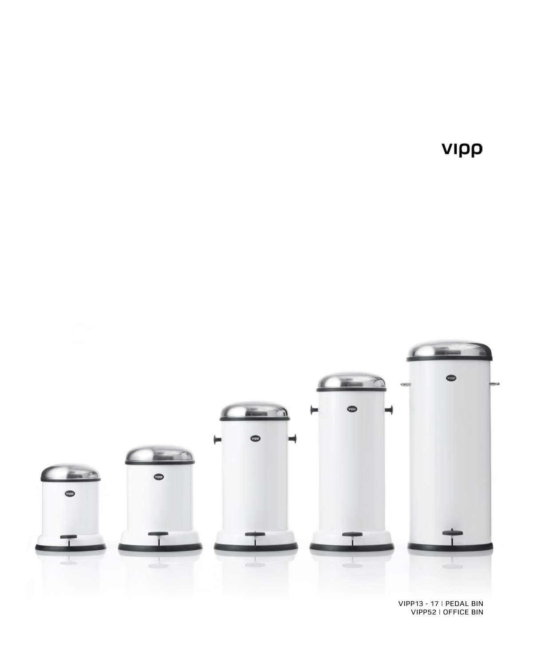VIPP13 - 17 | PEDAL BIN VIPP52 | OFFICE BIN



νιρρ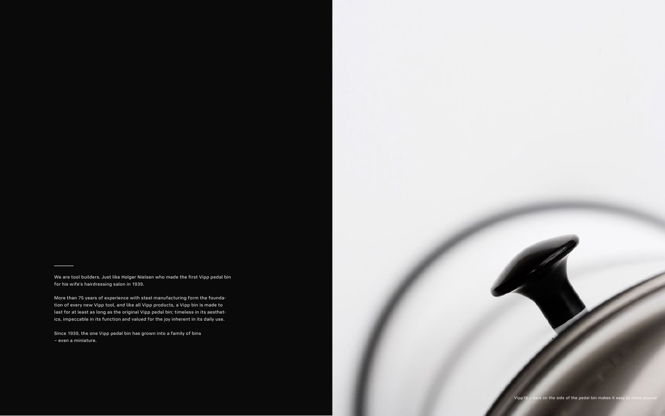We are tool builders. Just like Holger Nielsen who made the first Vipp pedal bin for his wife's hairdressing salon in 1939.

More than 75 years of experience with steel manufacturing form the foundation of every new Vipp tool, and like all Vipp products, a Vipp bin is made to last for at least as long as the original Vipp pedal bin; timeless in its aesthetics, impeccable in its function and valued for the joy inherent in its daily use.

Since 1939, the one Vipp pedal bin has grown into a family of bins – even a miniature.



Vipp15 – ears on the side of the pedal bin makes it easy to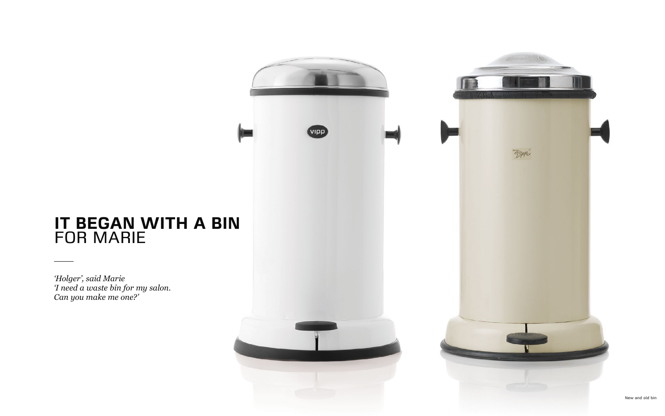*'Holger', said Marie 'I need a waste bin for my salon. Can you make me one?'*



### **IT BEGAN WITH A BIN**  FOR MARIE

New and old bin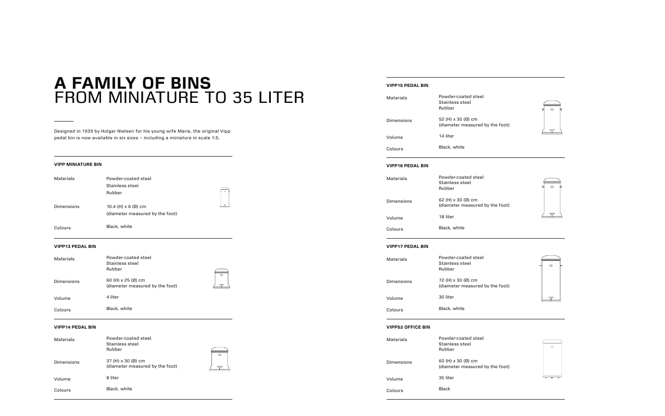Designed in 1939 by Holger Nielsen for his young wife Marie, the original Vipp pedal bin is now available in six sizes – including a miniature in scale 1:5.

#### **VIPP MINIATURE BIN**

| <b>Materials</b> | Powder-coated steel<br>Stainless steel<br>Rubber              |  |
|------------------|---------------------------------------------------------------|--|
| Dimensions       | 10.4 (H) $\times$ 6 (Ø) cm<br>(diameter measured by the foot) |  |
| Colours          | Black, white                                                  |  |

#### **VIPP13 PEDAL BIN**

| Materials  | Powder-coated steel<br>Stainless steel<br>Rubber             |         |
|------------|--------------------------------------------------------------|---------|
| Dimensions | 60 (H) $\times$ 25 (Ø) cm<br>(diameter measured by the foot) | $\circ$ |
| Volume     | 4 liter                                                      |         |
| Colours    | Black, white                                                 |         |

#### **VIPP14 PEDAL BIN**

| <b>Materials</b>  | Powder-coated steel<br>Stainless steel<br>Rubber      | ⌒ |
|-------------------|-------------------------------------------------------|---|
| <b>Dimensions</b> | 37 (H) x 30 (Ø) cm<br>(diameter measured by the foot) |   |
| Volume            | 8 liter                                               |   |
| Colours           | Black, white                                          |   |

## **A FAMILY OF BINS**  FROM MINIATURE TO 35 LITER

#### **VIPP15 PEDAL BIN**

| Materials  | Powder-coated steel<br>Stainless steel<br>Rubber      |
|------------|-------------------------------------------------------|
| Dimensions | 52 (H) x 30 (Ø) cm<br>(diameter measured by the foot) |
| Volume     | 14 liter                                              |
| Colours    | Black, white                                          |

#### **VIPP16 PEDAL BIN**

| Materials  | Powder-coated steel<br>Stainless steel<br>Rubber      |
|------------|-------------------------------------------------------|
| Dimensions | 62 (H) x 30 (Ø) cm<br>(diameter measured by the foot) |
| Volume     | 18 liter                                              |
| Colours    | Black, white                                          |

#### **VIPP17 PEDAL BIN**

| Materials  | Powder-coated steel<br>Stainless steel<br>Rubber      |
|------------|-------------------------------------------------------|
| Dimensions | 72 (H) x 30 (Ø) cm<br>(diameter measured by the foot) |
| Volume     | 30 liter                                              |
| Colours    | Black, white                                          |

#### **VIPP52 OFFICE BIN**

| Materials  | Powder-coated steel<br>Stainless steel<br>Rubber      |
|------------|-------------------------------------------------------|
| Dimensions | 60 (H) x 30 (Ø) cm<br>(diameter measured by the foot) |
| Volume     | 35 liter                                              |
| Colours    | Black                                                 |







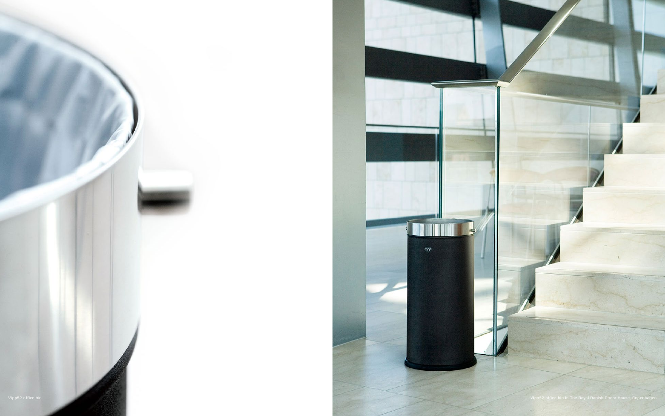

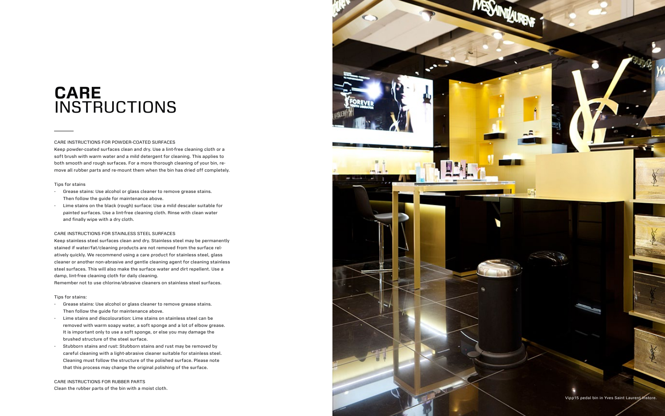#### CARE INSTRUCTIONS FOR POWDER-COATED SURFACES

Keep powder-coated surfaces clean and dry. Use a lint-free cleaning cloth or a soft brush with warm water and a mild detergent for cleaning. This applies to both smooth and rough surfaces. For a more thorough cleaning of your bin, re move all rubber parts and re-mount them when the bin has dried off completely.

#### Tips for stains

- Grease stains: Use alcohol or glass cleaner to remove grease stains. Then follow the guide for maintenance above.
- Lime stains on the black (rough) surface: Use a mild descaler suitable for painted surfaces. Use a lint-free cleaning cloth. Rinse with clean water and finally wipe with a dry cloth.

#### CARE INSTRUCTIONS FOR STAINLESS STEEL SURFACES

Keep stainless steel surfaces clean and dry. Stainless steel may be permanently stained if water/fat/cleaning products are not removed from the surface rel atively quickly. We recommend using a care product for stainless steel, glass cleaner or another non-abrasive and gentle cleaning agent for cleaning stainless steel surfaces. This will also make the surface water and dirt repellent. Use a damp, lint-free cleaning cloth for daily cleaning.

### **CARE INSTRUCTIONS**

Remember not to use chlorine/abrasive cleaners on stainless steel surfaces.

#### Tips for stains:

- Grease stains: Use alcohol or glass cleaner to remove grease stains. Then follow the guide for maintenance above.
- Lime stains and discolouration: Lime stains on stainless steel can be removed with warm soapy water, a soft sponge and a lot of elbow grease. It is important only to use a soft sponge, or else you may damage the brushed structure of the steel surface.
- Stubborn stains and rust: Stubborn stains and rust may be removed by careful cleaning with a light-abrasive cleaner suitable for stainless steel. Cleaning must follow the structure of the polished surface. Please note that this process may change the original polishing of the surface.

CARE INSTRUCTIONS FOR RUBBER PARTS Clean the rubber parts of the bin with a moist cloth.

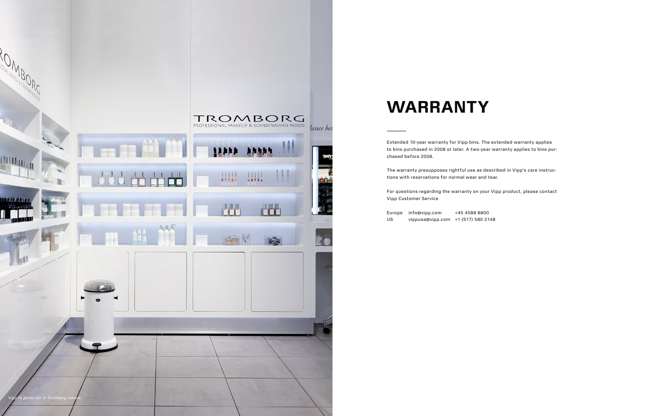

Extended 10-year warranty for Vipp bins. The extended warranty applies to bins purchased in 2008 or later. A two-year warranty applies to bins purchased before 2008.

The warranty presupposes rightful use as described in Vipp's care instructions with reservations for normal wear and tear.

For questions regarding the warranty on your Vipp product, please contact Vipp Customer Service

Europe info@vipp.com +45 4588 8800 US vippusa@vipp.com +1 (917) 580 2148

# **WARRANTY**